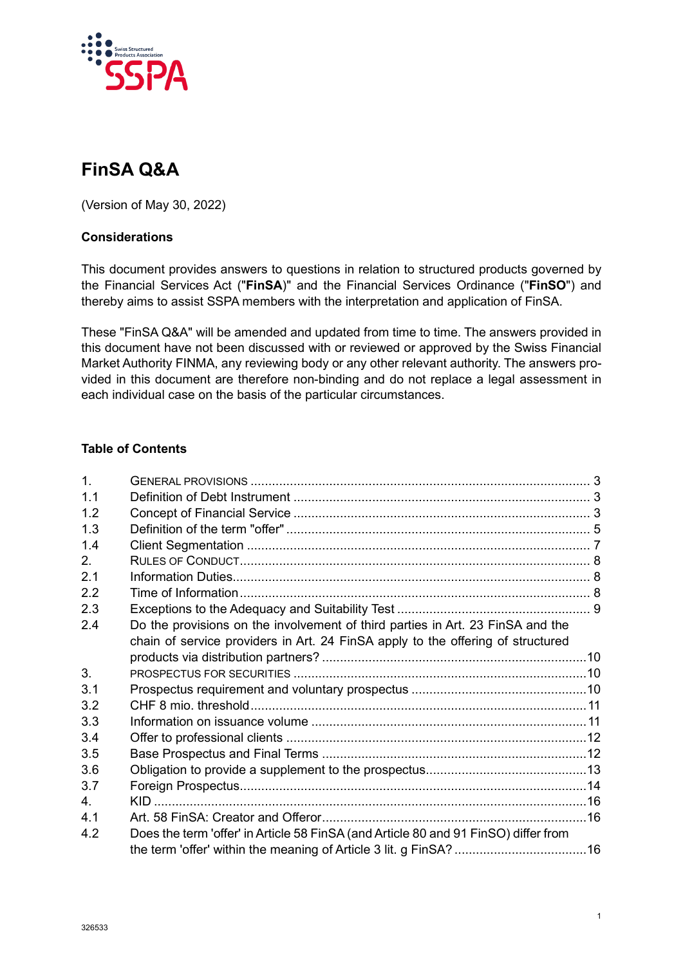

# **FinSA Q&A**

(Version of May 30, 2022)

## **Considerations**

This document provides answers to questions in relation to structured products governed by the Financial Services Act ("**FinSA**)" and the Financial Services Ordinance ("**FinSO**") and thereby aims to assist SSPA members with the interpretation and application of FinSA.

These "FinSA Q&A" will be amended and updated from time to time. The answers provided in this document have not been discussed with or reviewed or approved by the Swiss Financial Market Authority FINMA, any reviewing body or any other relevant authority. The answers provided in this document are therefore non-binding and do not replace a legal assessment in each individual case on the basis of the particular circumstances.

## **Table of Contents**

| 1 <sub>1</sub> |                                                                                     |  |
|----------------|-------------------------------------------------------------------------------------|--|
| 1.1            |                                                                                     |  |
| 1.2            |                                                                                     |  |
| 1.3            |                                                                                     |  |
| 14             |                                                                                     |  |
| 2.             |                                                                                     |  |
| 2.1            |                                                                                     |  |
| 2.2            |                                                                                     |  |
| 2.3            |                                                                                     |  |
| 2.4            | Do the provisions on the involvement of third parties in Art. 23 FinSA and the      |  |
|                | chain of service providers in Art. 24 FinSA apply to the offering of structured     |  |
|                |                                                                                     |  |
| 3.             |                                                                                     |  |
| 3.1            |                                                                                     |  |
| 3.2            |                                                                                     |  |
| 3.3            |                                                                                     |  |
| 3.4            |                                                                                     |  |
| 3.5            |                                                                                     |  |
| 3.6            |                                                                                     |  |
| 3.7            |                                                                                     |  |
| $4_{\cdot}$    |                                                                                     |  |
| 4.1            |                                                                                     |  |
| 4.2            | Does the term 'offer' in Article 58 FinSA (and Article 80 and 91 FinSO) differ from |  |
|                |                                                                                     |  |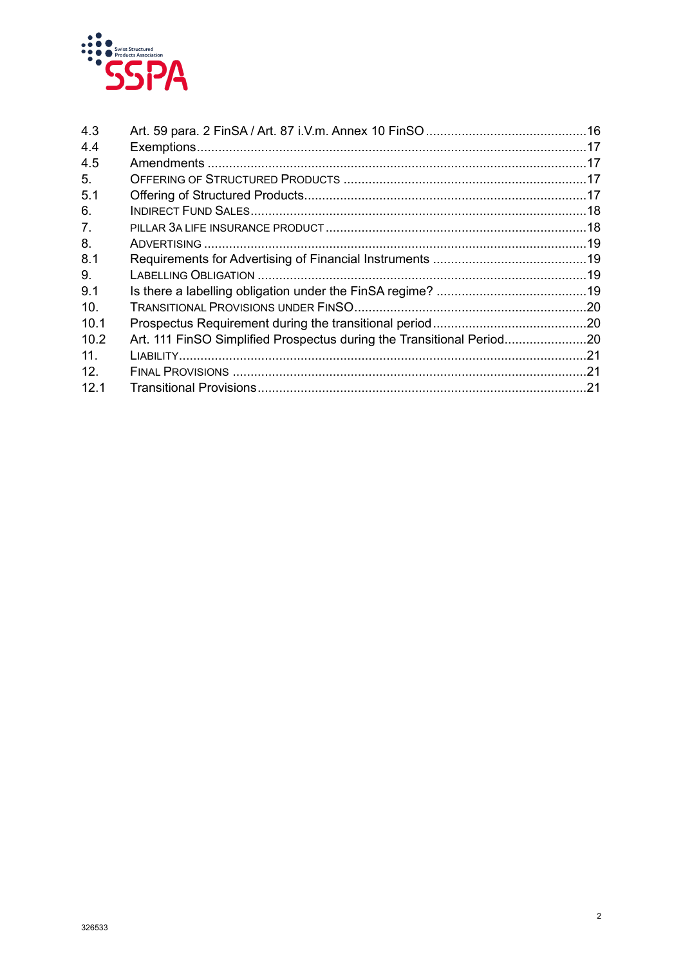

| 4.3             |                                                                       |  |
|-----------------|-----------------------------------------------------------------------|--|
| 4.4             |                                                                       |  |
| 4.5             |                                                                       |  |
| 5.              |                                                                       |  |
| 5.1             |                                                                       |  |
| 6.              |                                                                       |  |
| 7 <sub>1</sub>  |                                                                       |  |
| 8.              |                                                                       |  |
| 8.1             |                                                                       |  |
| 9.              |                                                                       |  |
| 9.1             |                                                                       |  |
| 10.             |                                                                       |  |
| 10.1            |                                                                       |  |
| 10.2            | Art. 111 FinSO Simplified Prospectus during the Transitional Period20 |  |
| 11 <sub>1</sub> |                                                                       |  |
| 12.             |                                                                       |  |
| 12.1            |                                                                       |  |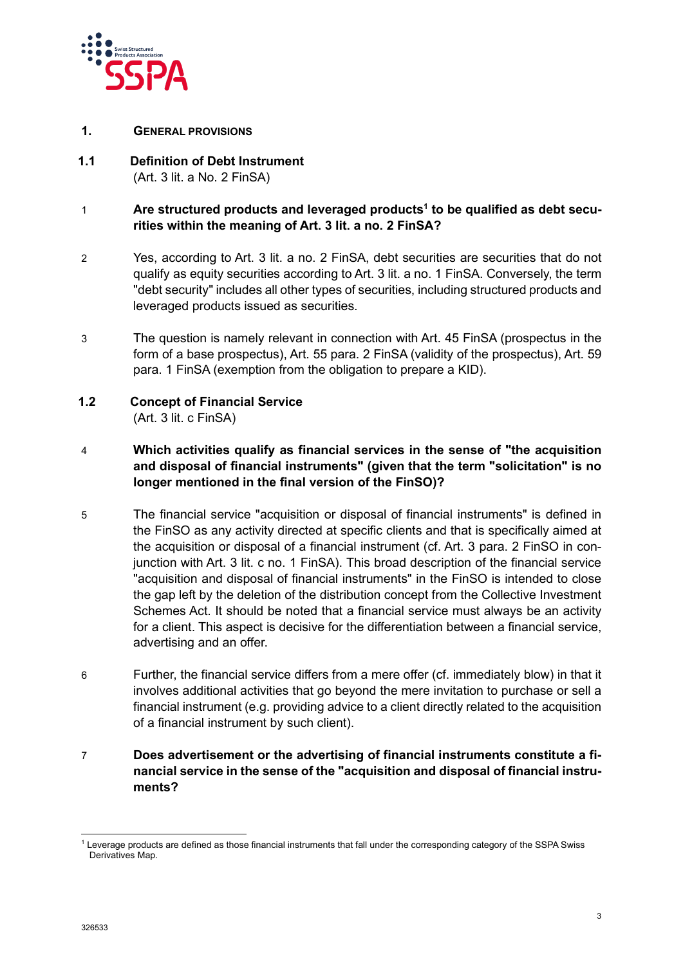

- <span id="page-2-0"></span>**1. GENERAL PROVISIONS**
- <span id="page-2-1"></span>**1.1 Definition of Debt Instrument** (Art. 3 lit. a No. 2 FinSA)

## 1 **Are structured products and leveraged products<sup>1</sup> to be qualified as debt securities within the meaning of Art. 3 lit. a no. 2 FinSA?**

- 2 Yes, according to Art. 3 lit. a no. 2 FinSA, debt securities are securities that do not qualify as equity securities according to Art. 3 lit. a no. 1 FinSA. Conversely, the term "debt security" includes all other types of securities, including structured products and leveraged products issued as securities.
- 3 The question is namely relevant in connection with Art. 45 FinSA (prospectus in the form of a base prospectus), Art. 55 para. 2 FinSA (validity of the prospectus), Art. 59 para. 1 FinSA (exemption from the obligation to prepare a KID).
- <span id="page-2-2"></span>**1.2 Concept of Financial Service** (Art. 3 lit. c FinSA)

## 4 **Which activities qualify as financial services in the sense of "the acquisition and disposal of financial instruments" (given that the term "solicitation" is no longer mentioned in the final version of the FinSO)?**

- 5 The financial service "acquisition or disposal of financial instruments" is defined in the FinSO as any activity directed at specific clients and that is specifically aimed at the acquisition or disposal of a financial instrument (cf. Art. 3 para. 2 FinSO in conjunction with Art. 3 lit. c no. 1 FinSA). This broad description of the financial service "acquisition and disposal of financial instruments" in the FinSO is intended to close the gap left by the deletion of the distribution concept from the Collective Investment Schemes Act. It should be noted that a financial service must always be an activity for a client. This aspect is decisive for the differentiation between a financial service, advertising and an offer.
- 6 Further, the financial service differs from a mere offer (cf. immediately blow) in that it involves additional activities that go beyond the mere invitation to purchase or sell a financial instrument (e.g. providing advice to a client directly related to the acquisition of a financial instrument by such client).
- 7 **Does advertisement or the advertising of financial instruments constitute a financial service in the sense of the "acquisition and disposal of financial instruments?**

<span id="page-2-3"></span><sup>&</sup>lt;sup>1</sup> Leverage products are defined as those financial instruments that fall under the corresponding category of the SSPA Swiss Derivatives Map.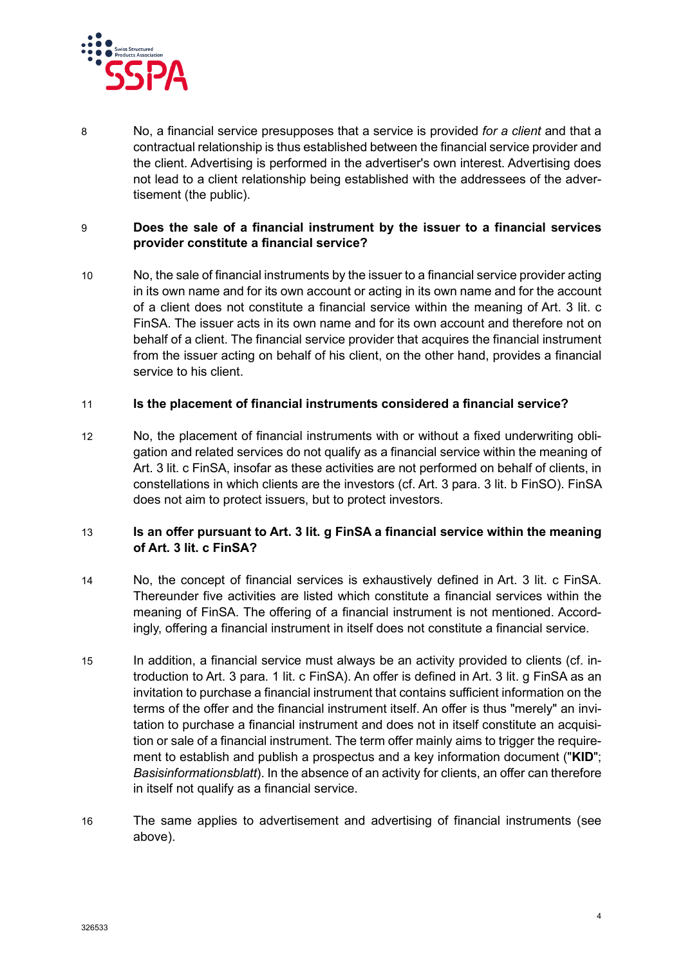

8 No, a financial service presupposes that a service is provided *for a client* and that a contractual relationship is thus established between the financial service provider and the client. Advertising is performed in the advertiser's own interest. Advertising does not lead to a client relationship being established with the addressees of the advertisement (the public).

## 9 **Does the sale of a financial instrument by the issuer to a financial services provider constitute a financial service?**

10 No, the sale of financial instruments by the issuer to a financial service provider acting in its own name and for its own account or acting in its own name and for the account of a client does not constitute a financial service within the meaning of Art. 3 lit. c FinSA. The issuer acts in its own name and for its own account and therefore not on behalf of a client. The financial service provider that acquires the financial instrument from the issuer acting on behalf of his client, on the other hand, provides a financial service to his client.

#### 11 **Is the placement of financial instruments considered a financial service?**

12 No, the placement of financial instruments with or without a fixed underwriting obligation and related services do not qualify as a financial service within the meaning of Art. 3 lit. c FinSA, insofar as these activities are not performed on behalf of clients, in constellations in which clients are the investors (cf. Art. 3 para. 3 lit. b FinSO). FinSA does not aim to protect issuers, but to protect investors.

## 13 **Is an offer pursuant to Art. 3 lit. g FinSA a financial service within the meaning of Art. 3 lit. c FinSA?**

- 14 No, the concept of financial services is exhaustively defined in Art. 3 lit. c FinSA. Thereunder five activities are listed which constitute a financial services within the meaning of FinSA. The offering of a financial instrument is not mentioned. Accordingly, offering a financial instrument in itself does not constitute a financial service.
- 15 In addition, a financial service must always be an activity provided to clients (cf. introduction to Art. 3 para. 1 lit. c FinSA). An offer is defined in Art. 3 lit. g FinSA as an invitation to purchase a financial instrument that contains sufficient information on the terms of the offer and the financial instrument itself. An offer is thus "merely" an invitation to purchase a financial instrument and does not in itself constitute an acquisition or sale of a financial instrument. The term offer mainly aims to trigger the requirement to establish and publish a prospectus and a key information document ("**KID**"; *Basisinformationsblatt*). In the absence of an activity for clients, an offer can therefore in itself not qualify as a financial service.
- 16 The same applies to advertisement and advertising of financial instruments (see above).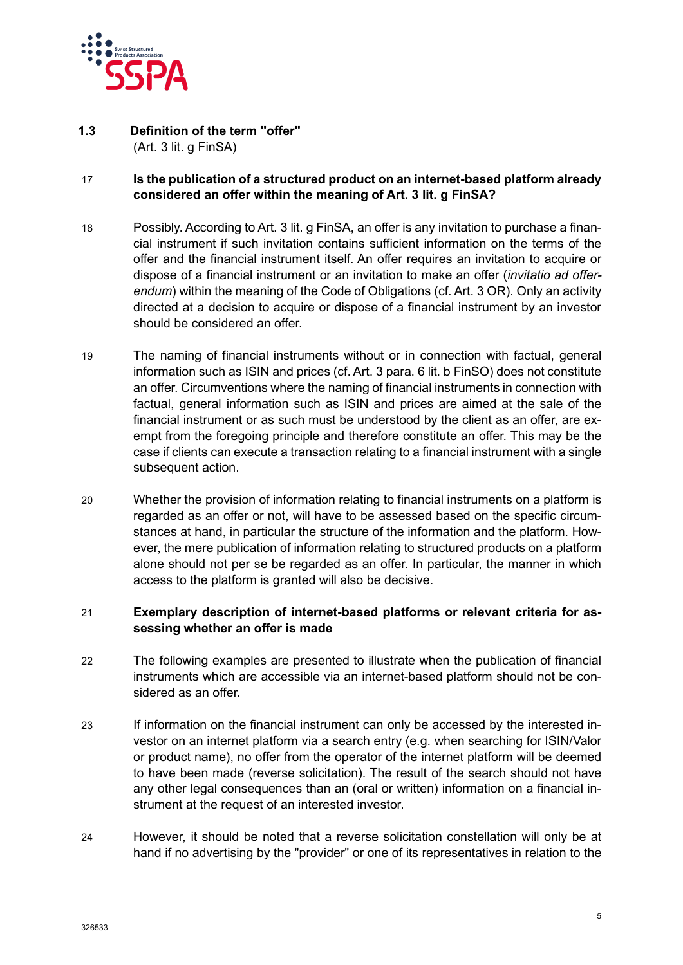

#### <span id="page-4-0"></span>**1.3 Definition of the term "offer"** (Art. 3 lit. g FinSA)

## 17 **Is the publication of a structured product on an internet-based platform already considered an offer within the meaning of Art. 3 lit. g FinSA?**

- 18 Possibly. According to Art. 3 lit. g FinSA, an offer is any invitation to purchase a financial instrument if such invitation contains sufficient information on the terms of the offer and the financial instrument itself. An offer requires an invitation to acquire or dispose of a financial instrument or an invitation to make an offer (*invitatio ad offerendum*) within the meaning of the Code of Obligations (cf. Art. 3 OR). Only an activity directed at a decision to acquire or dispose of a financial instrument by an investor should be considered an offer.
- 19 The naming of financial instruments without or in connection with factual, general information such as ISIN and prices (cf. Art. 3 para. 6 lit. b FinSO) does not constitute an offer. Circumventions where the naming of financial instruments in connection with factual, general information such as ISIN and prices are aimed at the sale of the financial instrument or as such must be understood by the client as an offer, are exempt from the foregoing principle and therefore constitute an offer. This may be the case if clients can execute a transaction relating to a financial instrument with a single subsequent action.
- 20 Whether the provision of information relating to financial instruments on a platform is regarded as an offer or not, will have to be assessed based on the specific circumstances at hand, in particular the structure of the information and the platform. However, the mere publication of information relating to structured products on a platform alone should not per se be regarded as an offer. In particular, the manner in which access to the platform is granted will also be decisive.

#### 21 **Exemplary description of internet-based platforms or relevant criteria for assessing whether an offer is made**

- 22 The following examples are presented to illustrate when the publication of financial instruments which are accessible via an internet-based platform should not be considered as an offer.
- 23 If information on the financial instrument can only be accessed by the interested investor on an internet platform via a search entry (e.g. when searching for ISIN/Valor or product name), no offer from the operator of the internet platform will be deemed to have been made (reverse solicitation). The result of the search should not have any other legal consequences than an (oral or written) information on a financial instrument at the request of an interested investor.
- 24 However, it should be noted that a reverse solicitation constellation will only be at hand if no advertising by the "provider" or one of its representatives in relation to the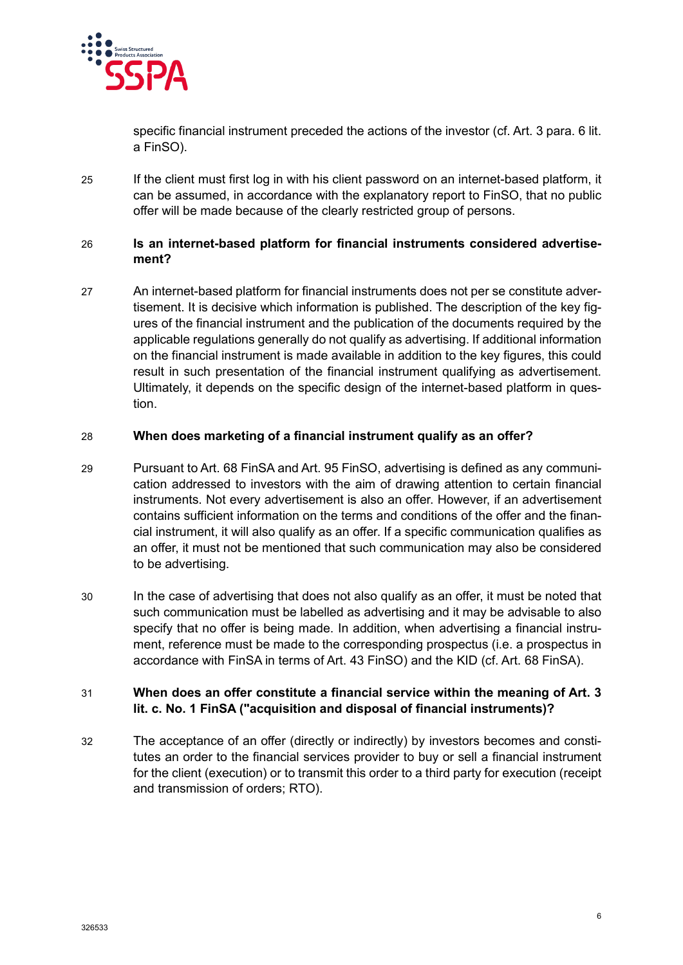

specific financial instrument preceded the actions of the investor (cf. Art. 3 para. 6 lit. a FinSO).

25 If the client must first log in with his client password on an internet-based platform, it can be assumed, in accordance with the explanatory report to FinSO, that no public offer will be made because of the clearly restricted group of persons.

## 26 **Is an internet-based platform for financial instruments considered advertisement?**

27 An internet-based platform for financial instruments does not per se constitute advertisement. It is decisive which information is published. The description of the key figures of the financial instrument and the publication of the documents required by the applicable regulations generally do not qualify as advertising. If additional information on the financial instrument is made available in addition to the key figures, this could result in such presentation of the financial instrument qualifying as advertisement. Ultimately, it depends on the specific design of the internet-based platform in question.

## 28 **When does marketing of a financial instrument qualify as an offer?**

- 29 Pursuant to Art. 68 FinSA and Art. 95 FinSO, advertising is defined as any communication addressed to investors with the aim of drawing attention to certain financial instruments. Not every advertisement is also an offer. However, if an advertisement contains sufficient information on the terms and conditions of the offer and the financial instrument, it will also qualify as an offer. If a specific communication qualifies as an offer, it must not be mentioned that such communication may also be considered to be advertising.
- 30 In the case of advertising that does not also qualify as an offer, it must be noted that such communication must be labelled as advertising and it may be advisable to also specify that no offer is being made. In addition, when advertising a financial instrument, reference must be made to the corresponding prospectus (i.e. a prospectus in accordance with FinSA in terms of Art. 43 FinSO) and the KID (cf. Art. 68 FinSA).

## 31 **When does an offer constitute a financial service within the meaning of Art. 3 lit. c. No. 1 FinSA ("acquisition and disposal of financial instruments)?**

32 The acceptance of an offer (directly or indirectly) by investors becomes and constitutes an order to the financial services provider to buy or sell a financial instrument for the client (execution) or to transmit this order to a third party for execution (receipt and transmission of orders; RTO).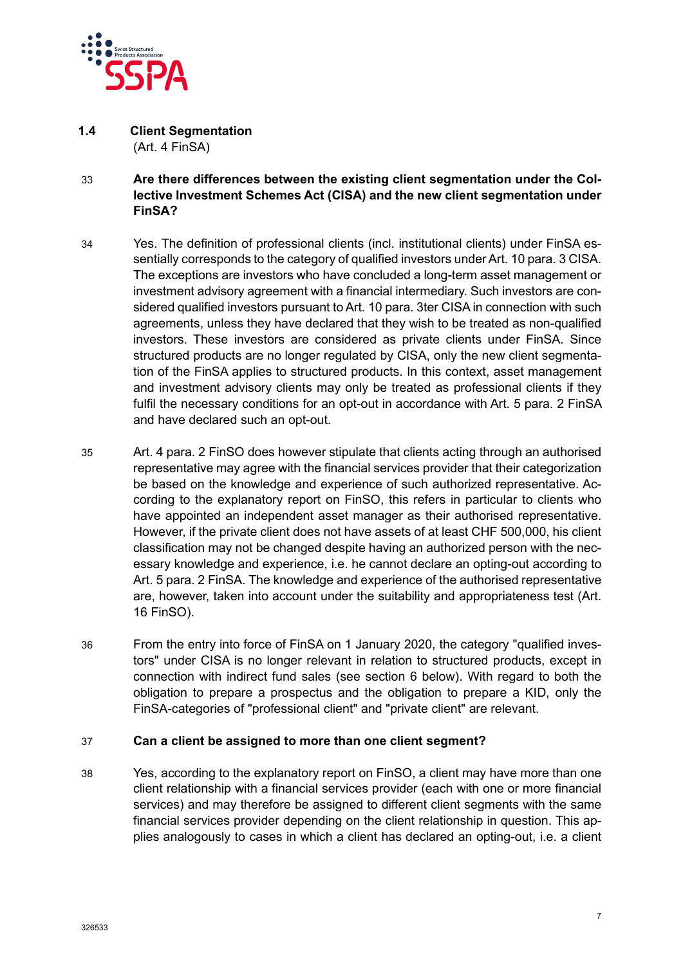

#### <span id="page-6-0"></span>**1.4 Client Segmentation** (Art. 4 FinSA)

- 33 **Are there differences between the existing client segmentation under the Collective Investment Schemes Act (CISA) and the new client segmentation under FinSA?**
- 34 Yes. The definition of professional clients (incl. institutional clients) under FinSA essentially corresponds to the category of qualified investors under Art. 10 para. 3 CISA. The exceptions are investors who have concluded a long-term asset management or investment advisory agreement with a financial intermediary. Such investors are considered qualified investors pursuant to Art. 10 para. 3ter CISA in connection with such agreements, unless they have declared that they wish to be treated as non-qualified investors. These investors are considered as private clients under FinSA. Since structured products are no longer regulated by CISA, only the new client segmentation of the FinSA applies to structured products. In this context, asset management and investment advisory clients may only be treated as professional clients if they fulfil the necessary conditions for an opt-out in accordance with Art. 5 para. 2 FinSA and have declared such an opt-out.
- 35 Art. 4 para. 2 FinSO does however stipulate that clients acting through an authorised representative may agree with the financial services provider that their categorization be based on the knowledge and experience of such authorized representative. According to the explanatory report on FinSO, this refers in particular to clients who have appointed an independent asset manager as their authorised representative. However, if the private client does not have assets of at least CHF 500,000, his client classification may not be changed despite having an authorized person with the necessary knowledge and experience, i.e. he cannot declare an opting-out according to Art. 5 para. 2 FinSA. The knowledge and experience of the authorised representative are, however, taken into account under the suitability and appropriateness test (Art. 16 FinSO).
- 36 From the entry into force of FinSA on 1 January 2020, the category "qualified investors" under CISA is no longer relevant in relation to structured products, except in connection with indirect fund sales (see section 6 below). With regard to both the obligation to prepare a prospectus and the obligation to prepare a KID, only the FinSA-categories of "professional client" and "private client" are relevant.

#### 37 **Can a client be assigned to more than one client segment?**

38 Yes, according to the explanatory report on FinSO, a client may have more than one client relationship with a financial services provider (each with one or more financial services) and may therefore be assigned to different client segments with the same financial services provider depending on the client relationship in question. This applies analogously to cases in which a client has declared an opting-out, i.e. a client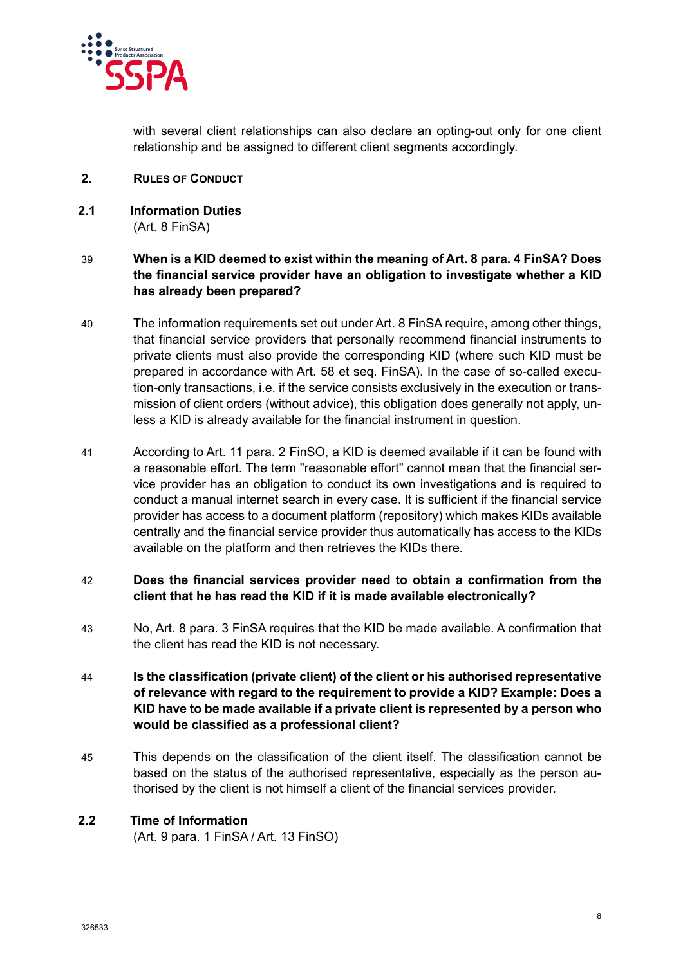

with several client relationships can also declare an opting-out only for one client relationship and be assigned to different client segments accordingly.

- <span id="page-7-0"></span>**2. RULES OF CONDUCT**
- <span id="page-7-1"></span>**2.1 Information Duties** (Art. 8 FinSA)

## 39 **When is a KID deemed to exist within the meaning of Art. 8 para. 4 FinSA? Does the financial service provider have an obligation to investigate whether a KID has already been prepared?**

- 40 The information requirements set out under Art. 8 FinSA require, among other things, that financial service providers that personally recommend financial instruments to private clients must also provide the corresponding KID (where such KID must be prepared in accordance with Art. 58 et seq. FinSA). In the case of so-called execution-only transactions, i.e. if the service consists exclusively in the execution or transmission of client orders (without advice), this obligation does generally not apply, unless a KID is already available for the financial instrument in question.
- 41 According to Art. 11 para. 2 FinSO, a KID is deemed available if it can be found with a reasonable effort. The term "reasonable effort" cannot mean that the financial service provider has an obligation to conduct its own investigations and is required to conduct a manual internet search in every case. It is sufficient if the financial service provider has access to a document platform (repository) which makes KIDs available centrally and the financial service provider thus automatically has access to the KIDs available on the platform and then retrieves the KIDs there.

## 42 **Does the financial services provider need to obtain a confirmation from the client that he has read the KID if it is made available electronically?**

- 43 No, Art. 8 para. 3 FinSA requires that the KID be made available. A confirmation that the client has read the KID is not necessary.
- 44 **Is the classification (private client) of the client or his authorised representative of relevance with regard to the requirement to provide a KID? Example: Does a KID have to be made available if a private client is represented by a person who would be classified as a professional client?**
- 45 This depends on the classification of the client itself. The classification cannot be based on the status of the authorised representative, especially as the person authorised by the client is not himself a client of the financial services provider.

## <span id="page-7-2"></span>**2.2 Time of Information**

(Art. 9 para. 1 FinSA / Art. 13 FinSO)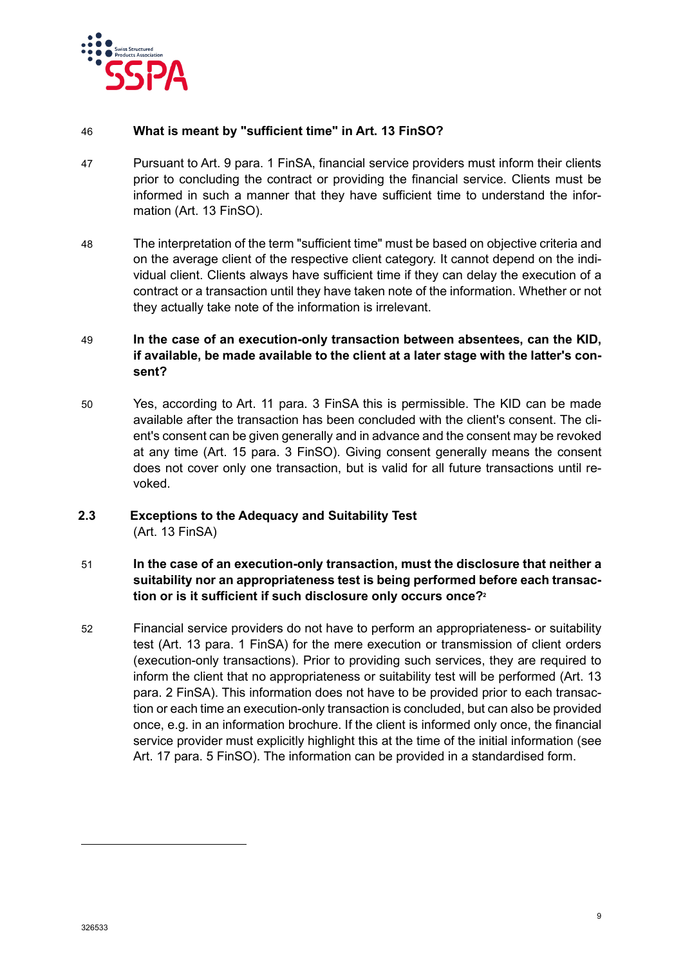

#### 46 **What is meant by "sufficient time" in Art. 13 FinSO?**

- 47 Pursuant to Art. 9 para. 1 FinSA, financial service providers must inform their clients prior to concluding the contract or providing the financial service. Clients must be informed in such a manner that they have sufficient time to understand the information (Art. 13 FinSO).
- 48 The interpretation of the term "sufficient time" must be based on objective criteria and on the average client of the respective client category. It cannot depend on the individual client. Clients always have sufficient time if they can delay the execution of a contract or a transaction until they have taken note of the information. Whether or not they actually take note of the information is irrelevant.

## 49 **In the case of an execution-only transaction between absentees, can the KID, if available, be made available to the client at a later stage with the latter's consent?**

50 Yes, according to Art. 11 para. 3 FinSA this is permissible. The KID can be made available after the transaction has been concluded with the client's consent. The client's consent can be given generally and in advance and the consent may be revoked at any time (Art. 15 para. 3 FinSO). Giving consent generally means the consent does not cover only one transaction, but is valid for all future transactions until revoked.

## <span id="page-8-0"></span>**2.3 Exceptions to the Adequacy and Suitability Test** (Art. 13 FinSA)

## 51 **In the case of an execution-only transaction, must the disclosure that neither a suitability nor an appropriateness test is being performed before each transaction or is it sufficient if such disclosure only occurs once[?](#page-8-1)<sup>2</sup>**

<span id="page-8-1"></span>52 Financial service providers do not have to perform an appropriateness- or suitability test (Art. 13 para. 1 FinSA) for the mere execution or transmission of client orders (execution-only transactions). Prior to providing such services, they are required to inform the client that no appropriateness or suitability test will be performed (Art. 13 para. 2 FinSA). This information does not have to be provided prior to each transaction or each time an execution-only transaction is concluded, but can also be provided once, e.g. in an information brochure. If the client is informed only once, the financial service provider must explicitly highlight this at the time of the initial information (see Art. 17 para. 5 FinSO). The information can be provided in a standardised form.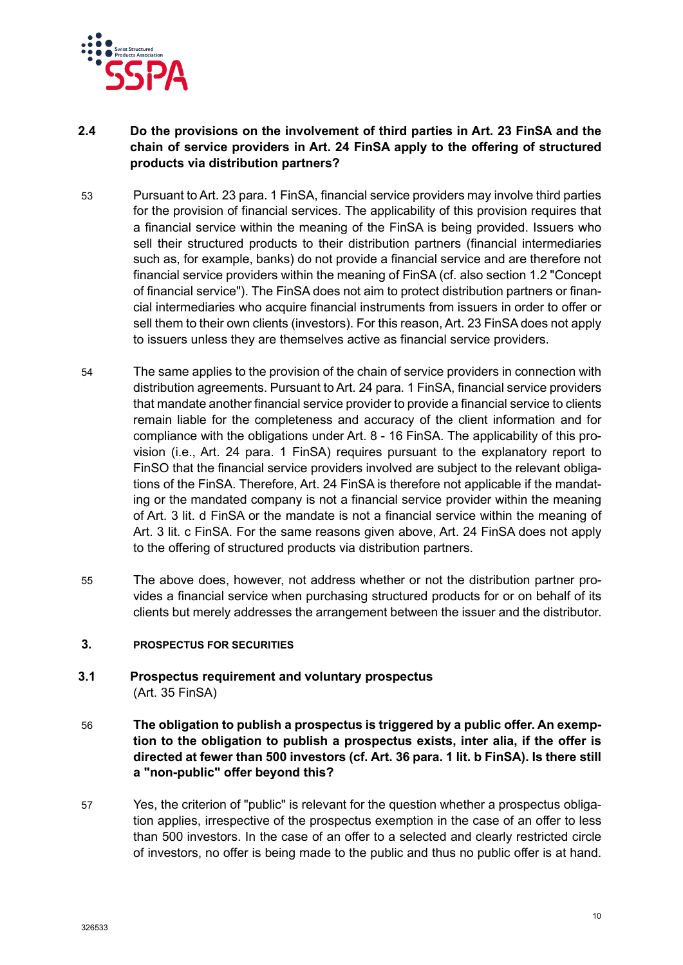

## <span id="page-9-0"></span>**2.4 Do the provisions on the involvement of third parties in Art. 23 FinSA and the chain of service providers in Art. 24 FinSA apply to the offering of structured products via distribution partners?**

- 53 Pursuant to Art. 23 para. 1 FinSA, financial service providers may involve third parties for the provision of financial services. The applicability of this provision requires that a financial service within the meaning of the FinSA is being provided. Issuers who sell their structured products to their distribution partners (financial intermediaries such as, for example, banks) do not provide a financial service and are therefore not financial service providers within the meaning of FinSA (cf. also section 1.2 "Concept of financial service"). The FinSA does not aim to protect distribution partners or financial intermediaries who acquire financial instruments from issuers in order to offer or sell them to their own clients (investors). For this reason, Art. 23 FinSA does not apply to issuers unless they are themselves active as financial service providers.
- 54 The same applies to the provision of the chain of service providers in connection with distribution agreements. Pursuant to Art. 24 para. 1 FinSA, financial service providers that mandate another financial service provider to provide a financial service to clients remain liable for the completeness and accuracy of the client information and for compliance with the obligations under Art. 8 - 16 FinSA. The applicability of this provision (i.e., Art. 24 para. 1 FinSA) requires pursuant to the explanatory report to FinSO that the financial service providers involved are subject to the relevant obligations of the FinSA. Therefore, Art. 24 FinSA is therefore not applicable if the mandating or the mandated company is not a financial service provider within the meaning of Art. 3 lit. d FinSA or the mandate is not a financial service within the meaning of Art. 3 lit. c FinSA. For the same reasons given above, Art. 24 FinSA does not apply to the offering of structured products via distribution partners.
- 55 The above does, however, not address whether or not the distribution partner provides a financial service when purchasing structured products for or on behalf of its clients but merely addresses the arrangement between the issuer and the distributor.

#### <span id="page-9-1"></span>**3. PROSPECTUS FOR SECURITIES**

- <span id="page-9-2"></span>**3.1 Prospectus requirement and voluntary prospectus** (Art. 35 FinSA)
- 56 **The obligation to publish a prospectus is triggered by a public offer. An exemption to the obligation to publish a prospectus exists, inter alia, if the offer is directed at fewer than 500 investors (cf. Art. 36 para. 1 lit. b FinSA). Is there still a "non-public" offer beyond this?**
- 57 Yes, the criterion of "public" is relevant for the question whether a prospectus obligation applies, irrespective of the prospectus exemption in the case of an offer to less than 500 investors. In the case of an offer to a selected and clearly restricted circle of investors, no offer is being made to the public and thus no public offer is at hand.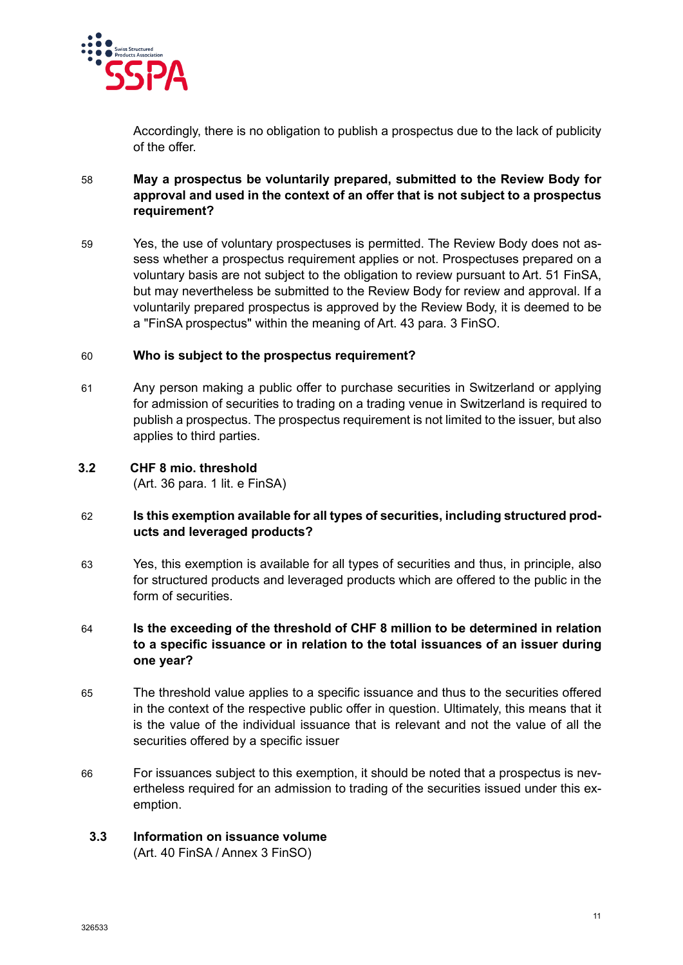

Accordingly, there is no obligation to publish a prospectus due to the lack of publicity of the offer.

## 58 **May a prospectus be voluntarily prepared, submitted to the Review Body for approval and used in the context of an offer that is not subject to a prospectus requirement?**

59 Yes, the use of voluntary prospectuses is permitted. The Review Body does not assess whether a prospectus requirement applies or not. Prospectuses prepared on a voluntary basis are not subject to the obligation to review pursuant to Art. 51 FinSA, but may nevertheless be submitted to the Review Body for review and approval. If a voluntarily prepared prospectus is approved by the Review Body, it is deemed to be a "FinSA prospectus" within the meaning of Art. 43 para. 3 FinSO.

## 60 **Who is subject to the prospectus requirement?**

61 Any person making a public offer to purchase securities in Switzerland or applying for admission of securities to trading on a trading venue in Switzerland is required to publish a prospectus. The prospectus requirement is not limited to the issuer, but also applies to third parties.

## <span id="page-10-0"></span>**3.2 CHF 8 mio. threshold**

(Art. 36 para. 1 lit. e FinSA)

## 62 **Is this exemption available for all types of securities, including structured products and leveraged products?**

- 63 Yes, this exemption is available for all types of securities and thus, in principle, also for structured products and leveraged products which are offered to the public in the form of securities.
- 64 **Is the exceeding of the threshold of CHF 8 million to be determined in relation to a specific issuance or in relation to the total issuances of an issuer during one year?**
- 65 The threshold value applies to a specific issuance and thus to the securities offered in the context of the respective public offer in question. Ultimately, this means that it is the value of the individual issuance that is relevant and not the value of all the securities offered by a specific issuer
- 66 For issuances subject to this exemption, it should be noted that a prospectus is nevertheless required for an admission to trading of the securities issued under this exemption.

## <span id="page-10-1"></span>**3.3 Information on issuance volume**

(Art. 40 FinSA / Annex 3 FinSO)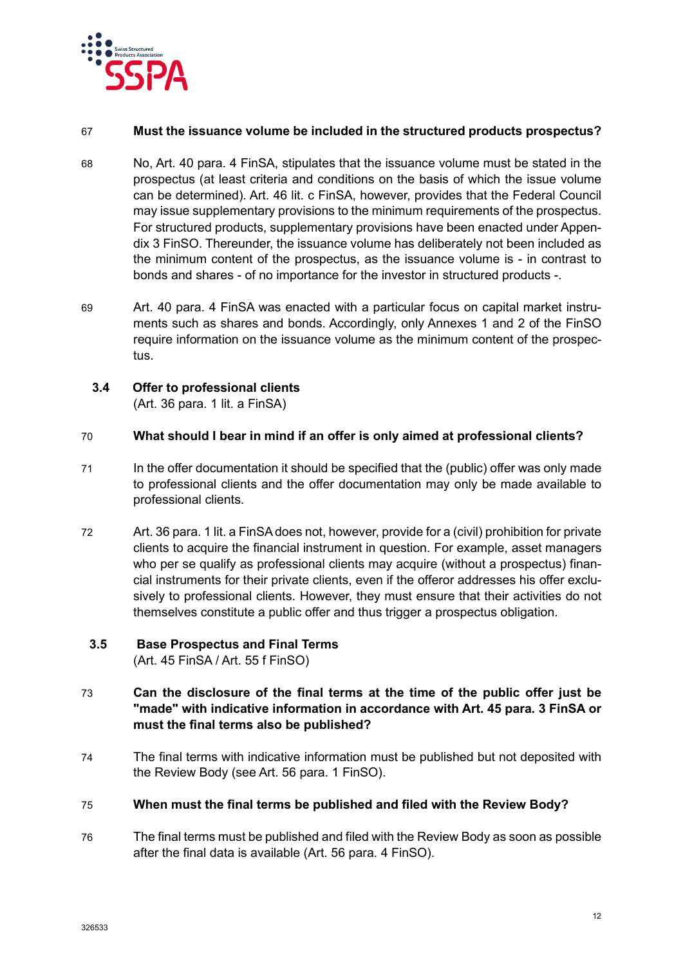

### 67 **Must the issuance volume be included in the structured products prospectus?**

- 68 No, Art. 40 para. 4 FinSA, stipulates that the issuance volume must be stated in the prospectus (at least criteria and conditions on the basis of which the issue volume can be determined). Art. 46 lit. c FinSA, however, provides that the Federal Council may issue supplementary provisions to the minimum requirements of the prospectus. For structured products, supplementary provisions have been enacted under Appendix 3 FinSO. Thereunder, the issuance volume has deliberately not been included as the minimum content of the prospectus, as the issuance volume is - in contrast to bonds and shares - of no importance for the investor in structured products -.
- 69 Art. 40 para. 4 FinSA was enacted with a particular focus on capital market instruments such as shares and bonds. Accordingly, only Annexes 1 and 2 of the FinSO require information on the issuance volume as the minimum content of the prospectus.

## <span id="page-11-0"></span>**3.4 Offer to professional clients**

(Art. 36 para. 1 lit. a FinSA)

## 70 **What should I bear in mind if an offer is only aimed at professional clients?**

- 71 In the offer documentation it should be specified that the (public) offer was only made to professional clients and the offer documentation may only be made available to professional clients.
- 72 Art. 36 para. 1 lit. a FinSA does not, however, provide for a (civil) prohibition for private clients to acquire the financial instrument in question. For example, asset managers who per se qualify as professional clients may acquire (without a prospectus) financial instruments for their private clients, even if the offeror addresses his offer exclusively to professional clients. However, they must ensure that their activities do not themselves constitute a public offer and thus trigger a prospectus obligation.

## <span id="page-11-1"></span>**3.5 Base Prospectus and Final Terms** (Art. 45 FinSA / Art. 55 f FinSO)

- 73 **Can the disclosure of the final terms at the time of the public offer just be "made" with indicative information in accordance with Art. 45 para. 3 FinSA or must the final terms also be published?**
- 74 The final terms with indicative information must be published but not deposited with the Review Body (see Art. 56 para. 1 FinSO).

#### 75 **When must the final terms be published and filed with the Review Body?**

76 The final terms must be published and filed with the Review Body as soon as possible after the final data is available (Art. 56 para. 4 FinSO).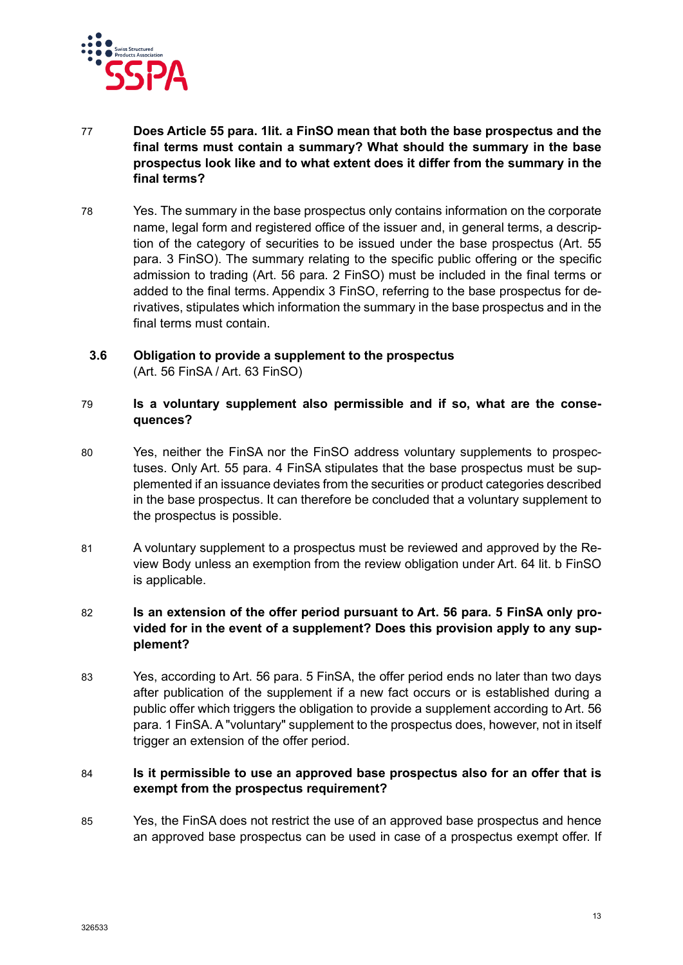

- 77 **Does Article 55 para. 1lit. a FinSO mean that both the base prospectus and the final terms must contain a summary? What should the summary in the base prospectus look like and to what extent does it differ from the summary in the final terms?**
- 78 Yes. The summary in the base prospectus only contains information on the corporate name, legal form and registered office of the issuer and, in general terms, a description of the category of securities to be issued under the base prospectus (Art. 55 para. 3 FinSO). The summary relating to the specific public offering or the specific admission to trading (Art. 56 para. 2 FinSO) must be included in the final terms or added to the final terms. Appendix 3 FinSO, referring to the base prospectus for derivatives, stipulates which information the summary in the base prospectus and in the final terms must contain.

## <span id="page-12-0"></span>**3.6 Obligation to provide a supplement to the prospectus** (Art. 56 FinSA / Art. 63 FinSO)

#### 79 **Is a voluntary supplement also permissible and if so, what are the consequences?**

- 80 Yes, neither the FinSA nor the FinSO address voluntary supplements to prospectuses. Only Art. 55 para. 4 FinSA stipulates that the base prospectus must be supplemented if an issuance deviates from the securities or product categories described in the base prospectus. It can therefore be concluded that a voluntary supplement to the prospectus is possible.
- 81 A voluntary supplement to a prospectus must be reviewed and approved by the Review Body unless an exemption from the review obligation under Art. 64 lit. b FinSO is applicable.

## 82 **Is an extension of the offer period pursuant to Art. 56 para. 5 FinSA only provided for in the event of a supplement? Does this provision apply to any supplement?**

83 Yes, according to Art. 56 para. 5 FinSA, the offer period ends no later than two days after publication of the supplement if a new fact occurs or is established during a public offer which triggers the obligation to provide a supplement according to Art. 56 para. 1 FinSA. A "voluntary" supplement to the prospectus does, however, not in itself trigger an extension of the offer period.

## 84 **Is it permissible to use an approved base prospectus also for an offer that is exempt from the prospectus requirement?**

85 Yes, the FinSA does not restrict the use of an approved base prospectus and hence an approved base prospectus can be used in case of a prospectus exempt offer. If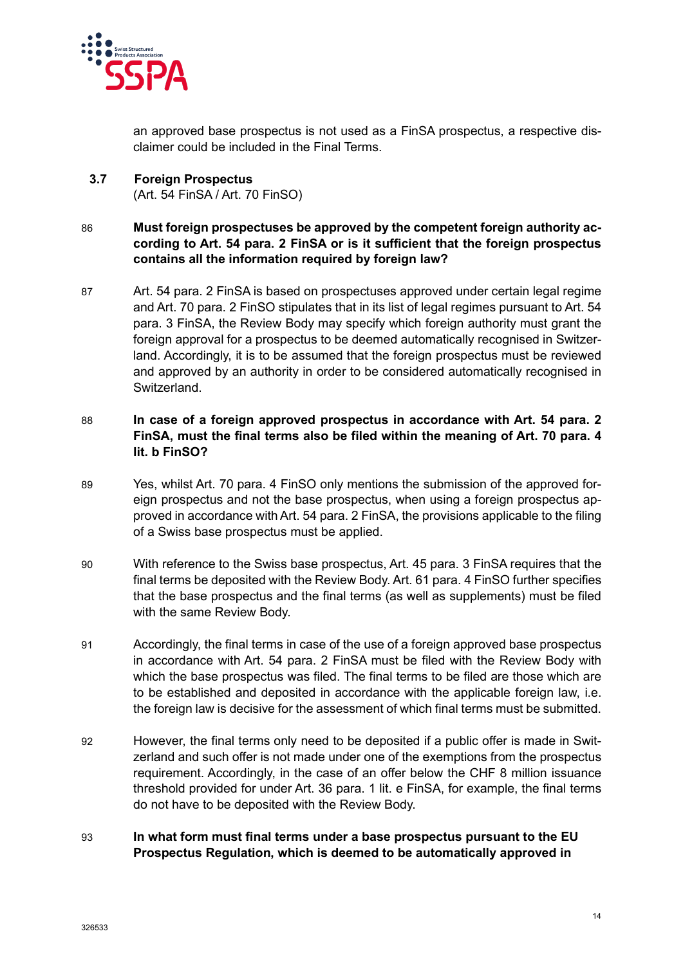

an approved base prospectus is not used as a FinSA prospectus, a respective disclaimer could be included in the Final Terms.

<span id="page-13-0"></span>**3.7 Foreign Prospectus** (Art. 54 FinSA / Art. 70 FinSO)

## 86 **Must foreign prospectuses be approved by the competent foreign authority according to Art. 54 para. 2 FinSA or is it sufficient that the foreign prospectus contains all the information required by foreign law?**

87 Art. 54 para. 2 FinSA is based on prospectuses approved under certain legal regime and Art. 70 para. 2 FinSO stipulates that in its list of legal regimes pursuant to Art. 54 para. 3 FinSA, the Review Body may specify which foreign authority must grant the foreign approval for a prospectus to be deemed automatically recognised in Switzerland. Accordingly, it is to be assumed that the foreign prospectus must be reviewed and approved by an authority in order to be considered automatically recognised in Switzerland.

## 88 **In case of a foreign approved prospectus in accordance with Art. 54 para. 2 FinSA, must the final terms also be filed within the meaning of Art. 70 para. 4 lit. b FinSO?**

- 89 Yes, whilst Art. 70 para. 4 FinSO only mentions the submission of the approved foreign prospectus and not the base prospectus, when using a foreign prospectus approved in accordance with Art. 54 para. 2 FinSA, the provisions applicable to the filing of a Swiss base prospectus must be applied.
- 90 With reference to the Swiss base prospectus, Art. 45 para. 3 FinSA requires that the final terms be deposited with the Review Body. Art. 61 para. 4 FinSO further specifies that the base prospectus and the final terms (as well as supplements) must be filed with the same Review Body.
- 91 Accordingly, the final terms in case of the use of a foreign approved base prospectus in accordance with Art. 54 para. 2 FinSA must be filed with the Review Body with which the base prospectus was filed. The final terms to be filed are those which are to be established and deposited in accordance with the applicable foreign law, i.e. the foreign law is decisive for the assessment of which final terms must be submitted.
- 92 However, the final terms only need to be deposited if a public offer is made in Switzerland and such offer is not made under one of the exemptions from the prospectus requirement. Accordingly, in the case of an offer below the CHF 8 million issuance threshold provided for under Art. 36 para. 1 lit. e FinSA, for example, the final terms do not have to be deposited with the Review Body.

## 93 **In what form must final terms under a base prospectus pursuant to the EU Prospectus Regulation, which is deemed to be automatically approved in**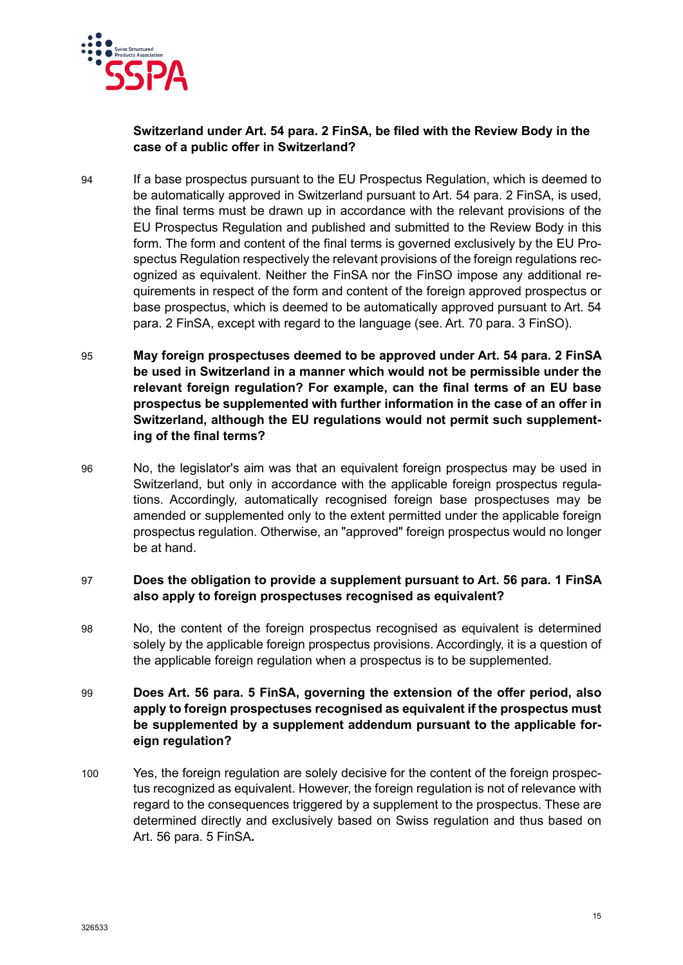

### **Switzerland under Art. 54 para. 2 FinSA, be filed with the Review Body in the case of a public offer in Switzerland?**

- 94 If a base prospectus pursuant to the EU Prospectus Regulation, which is deemed to be automatically approved in Switzerland pursuant to Art. 54 para. 2 FinSA, is used, the final terms must be drawn up in accordance with the relevant provisions of the EU Prospectus Regulation and published and submitted to the Review Body in this form. The form and content of the final terms is governed exclusively by the EU Prospectus Regulation respectively the relevant provisions of the foreign regulations recognized as equivalent. Neither the FinSA nor the FinSO impose any additional requirements in respect of the form and content of the foreign approved prospectus or base prospectus, which is deemed to be automatically approved pursuant to Art. 54 para. 2 FinSA, except with regard to the language (see. Art. 70 para. 3 FinSO).
- 95 **May foreign prospectuses deemed to be approved under Art. 54 para. 2 FinSA be used in Switzerland in a manner which would not be permissible under the relevant foreign regulation? For example, can the final terms of an EU base prospectus be supplemented with further information in the case of an offer in Switzerland, although the EU regulations would not permit such supplementing of the final terms?**
- 96 No, the legislator's aim was that an equivalent foreign prospectus may be used in Switzerland, but only in accordance with the applicable foreign prospectus regulations. Accordingly, automatically recognised foreign base prospectuses may be amended or supplemented only to the extent permitted under the applicable foreign prospectus regulation. Otherwise, an "approved" foreign prospectus would no longer be at hand.

## 97 **Does the obligation to provide a supplement pursuant to Art. 56 para. 1 FinSA also apply to foreign prospectuses recognised as equivalent?**

- 98 No, the content of the foreign prospectus recognised as equivalent is determined solely by the applicable foreign prospectus provisions. Accordingly, it is a question of the applicable foreign regulation when a prospectus is to be supplemented.
- 99 **Does Art. 56 para. 5 FinSA, governing the extension of the offer period, also apply to foreign prospectuses recognised as equivalent if the prospectus must be supplemented by a supplement addendum pursuant to the applicable foreign regulation?**
- 100 Yes, the foreign regulation are solely decisive for the content of the foreign prospectus recognized as equivalent. However, the foreign regulation is not of relevance with regard to the consequences triggered by a supplement to the prospectus. These are determined directly and exclusively based on Swiss regulation and thus based on Art. 56 para. 5 FinSA**.**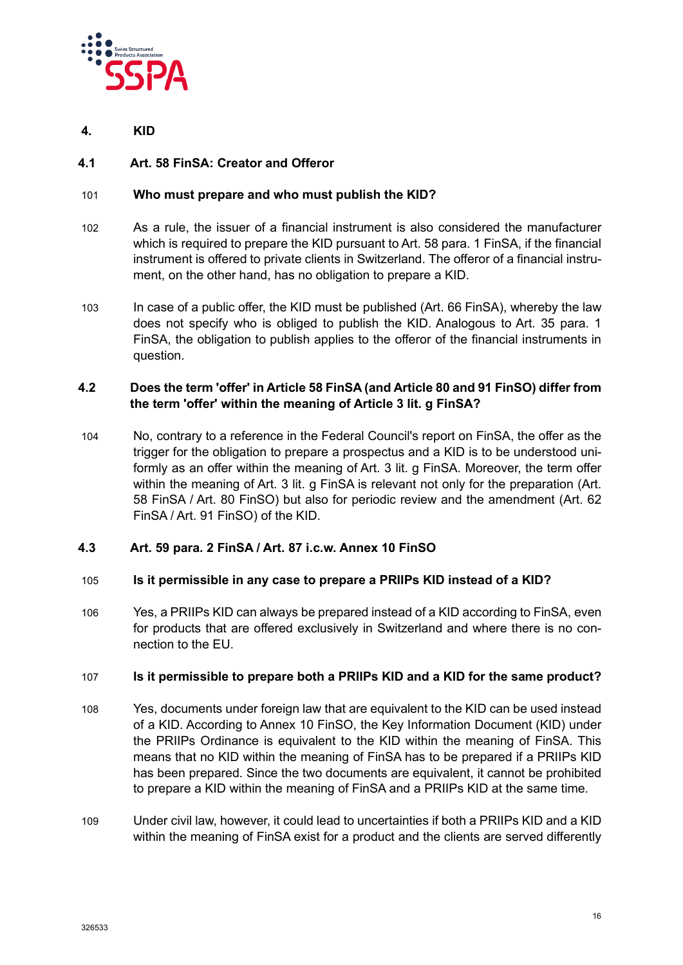

<span id="page-15-0"></span>**4. KID**

## <span id="page-15-1"></span>**4.1 Art. 58 FinSA: Creator and Offeror**

### 101 **Who must prepare and who must publish the KID?**

- 102 As a rule, the issuer of a financial instrument is also considered the manufacturer which is required to prepare the KID pursuant to Art. 58 para. 1 FinSA, if the financial instrument is offered to private clients in Switzerland. The offeror of a financial instrument, on the other hand, has no obligation to prepare a KID.
- 103 In case of a public offer, the KID must be published (Art. 66 FinSA), whereby the law does not specify who is obliged to publish the KID. Analogous to Art. 35 para. 1 FinSA, the obligation to publish applies to the offeror of the financial instruments in question.

## <span id="page-15-2"></span>**4.2 Does the term 'offer' in Article 58 FinSA (and Article 80 and 91 FinSO) differ from the term 'offer' within the meaning of Article 3 lit. g FinSA?**

104 No, contrary to a reference in the Federal Council's report on FinSA, the offer as the trigger for the obligation to prepare a prospectus and a KID is to be understood uniformly as an offer within the meaning of Art. 3 lit. g FinSA. Moreover, the term offer within the meaning of Art. 3 lit. g FinSA is relevant not only for the preparation (Art. 58 FinSA / Art. 80 FinSO) but also for periodic review and the amendment (Art. 62 FinSA / Art. 91 FinSO) of the KID.

## <span id="page-15-3"></span>**4.3 Art. 59 para. 2 FinSA / Art. 87 i.c.w. Annex 10 FinSO**

#### 105 **Is it permissible in any case to prepare a PRIIPs KID instead of a KID?**

106 Yes, a PRIIPs KID can always be prepared instead of a KID according to FinSA, even for products that are offered exclusively in Switzerland and where there is no connection to the EU.

#### 107 **Is it permissible to prepare both a PRIIPs KID and a KID for the same product?**

- 108 Yes, documents under foreign law that are equivalent to the KID can be used instead of a KID. According to Annex 10 FinSO, the Key Information Document (KID) under the PRIIPs Ordinance is equivalent to the KID within the meaning of FinSA. This means that no KID within the meaning of FinSA has to be prepared if a PRIIPs KID has been prepared. Since the two documents are equivalent, it cannot be prohibited to prepare a KID within the meaning of FinSA and a PRIIPs KID at the same time.
- 109 Under civil law, however, it could lead to uncertainties if both a PRIIPs KID and a KID within the meaning of FinSA exist for a product and the clients are served differently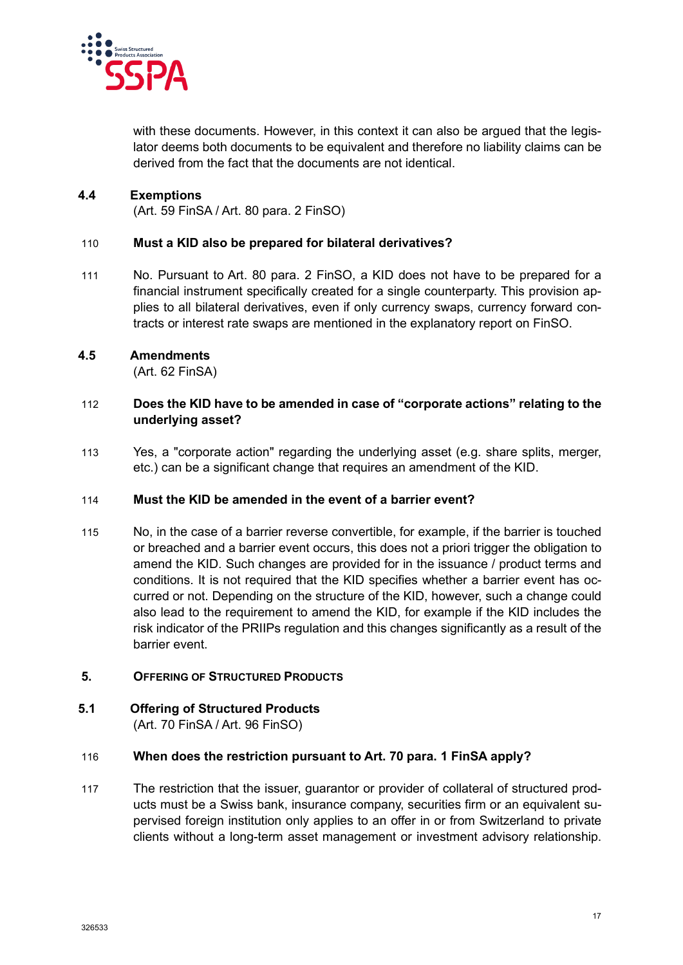

with these documents. However, in this context it can also be argued that the legislator deems both documents to be equivalent and therefore no liability claims can be derived from the fact that the documents are not identical.

## <span id="page-16-0"></span>**4.4 Exemptions**

(Art. 59 FinSA / Art. 80 para. 2 FinSO)

#### 110 **Must a KID also be prepared for bilateral derivatives?**

111 No. Pursuant to Art. 80 para. 2 FinSO, a KID does not have to be prepared for a financial instrument specifically created for a single counterparty. This provision applies to all bilateral derivatives, even if only currency swaps, currency forward contracts or interest rate swaps are mentioned in the explanatory report on FinSO.

#### <span id="page-16-1"></span>**4.5 Amendments**

(Art. 62 FinSA)

#### 112 **Does the KID have to be amended in case of "corporate actions" relating to the underlying asset?**

113 Yes, a "corporate action" regarding the underlying asset (e.g. share splits, merger, etc.) can be a significant change that requires an amendment of the KID.

## 114 **Must the KID be amended in the event of a barrier event?**

115 No, in the case of a barrier reverse convertible, for example, if the barrier is touched or breached and a barrier event occurs, this does not a priori trigger the obligation to amend the KID. Such changes are provided for in the issuance / product terms and conditions. It is not required that the KID specifies whether a barrier event has occurred or not. Depending on the structure of the KID, however, such a change could also lead to the requirement to amend the KID, for example if the KID includes the risk indicator of the PRIIPs regulation and this changes significantly as a result of the barrier event.

#### <span id="page-16-2"></span>**5. OFFERING OF STRUCTURED PRODUCTS**

#### <span id="page-16-3"></span>**5.1 Offering of Structured Products** (Art. 70 FinSA / Art. 96 FinSO)

#### 116 **When does the restriction pursuant to Art. 70 para. 1 FinSA apply?**

117 The restriction that the issuer, guarantor or provider of collateral of structured products must be a Swiss bank, insurance company, securities firm or an equivalent supervised foreign institution only applies to an offer in or from Switzerland to private clients without a long-term asset management or investment advisory relationship.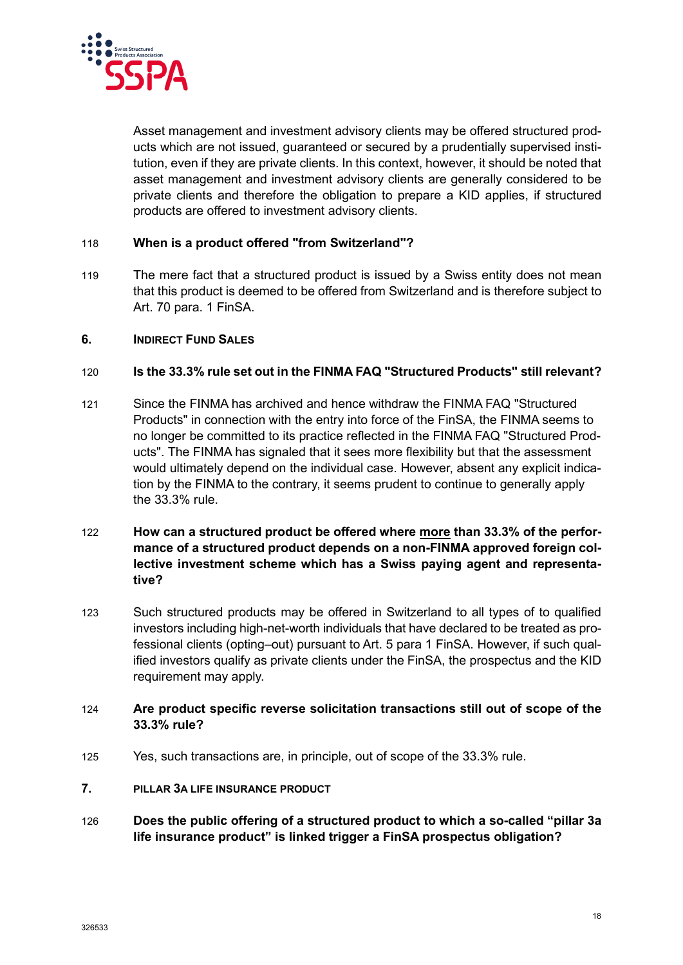

Asset management and investment advisory clients may be offered structured products which are not issued, guaranteed or secured by a prudentially supervised institution, even if they are private clients. In this context, however, it should be noted that asset management and investment advisory clients are generally considered to be private clients and therefore the obligation to prepare a KID applies, if structured products are offered to investment advisory clients.

#### 118 **When is a product offered "from Switzerland"?**

119 The mere fact that a structured product is issued by a Swiss entity does not mean that this product is deemed to be offered from Switzerland and is therefore subject to Art. 70 para. 1 FinSA.

#### <span id="page-17-0"></span>**6. INDIRECT FUND SALES**

### 120 **Is the 33.3% rule set out in the FINMA FAQ "Structured Products" still relevant?**

- 121 Since the FINMA has archived and hence withdraw the FINMA FAQ "Structured Products" in connection with the entry into force of the FinSA, the FINMA seems to no longer be committed to its practice reflected in the FINMA FAQ "Structured Products". The FINMA has signaled that it sees more flexibility but that the assessment would ultimately depend on the individual case. However, absent any explicit indication by the FINMA to the contrary, it seems prudent to continue to generally apply the 33.3% rule.
- 122 **How can a structured product be offered where more than 33.3% of the performance of a structured product depends on a non-FINMA approved foreign collective investment scheme which has a Swiss paying agent and representative?**
- 123 Such structured products may be offered in Switzerland to all types of to qualified investors including high-net-worth individuals that have declared to be treated as professional clients (opting–out) pursuant to Art. 5 para 1 FinSA. However, if such qualified investors qualify as private clients under the FinSA, the prospectus and the KID requirement may apply.

#### 124 **Are product specific reverse solicitation transactions still out of scope of the 33.3% rule?**

125 Yes, such transactions are, in principle, out of scope of the 33.3% rule.

#### <span id="page-17-1"></span>**7. PILLAR 3A LIFE INSURANCE PRODUCT**

126 **Does the public offering of a structured product to which a so-called "pillar 3a life insurance product" is linked trigger a FinSA prospectus obligation?**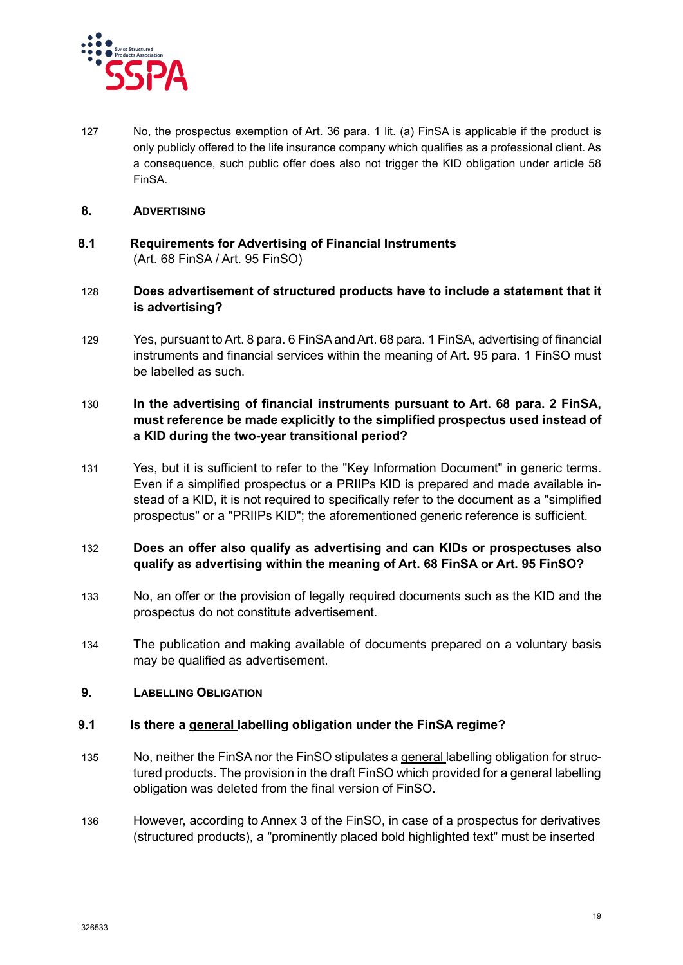

127 No, the prospectus exemption of Art. 36 para. 1 lit. (a) FinSA is applicable if the product is only publicly offered to the life insurance company which qualifies as a professional client. As a consequence, such public offer does also not trigger the KID obligation under article 58 FinSA.

#### <span id="page-18-0"></span>**8. ADVERTISING**

- <span id="page-18-1"></span>**8.1 Requirements for Advertising of Financial Instruments** (Art. 68 FinSA / Art. 95 FinSO)
- 128 **Does advertisement of structured products have to include a statement that it is advertising?**
- 129 Yes, pursuant to Art. 8 para. 6 FinSA and Art. 68 para. 1 FinSA, advertising of financial instruments and financial services within the meaning of Art. 95 para. 1 FinSO must be labelled as such.

#### 130 **In the advertising of financial instruments pursuant to Art. 68 para. 2 FinSA, must reference be made explicitly to the simplified prospectus used instead of a KID during the two-year transitional period?**

131 Yes, but it is sufficient to refer to the "Key Information Document" in generic terms. Even if a simplified prospectus or a PRIIPs KID is prepared and made available instead of a KID, it is not required to specifically refer to the document as a "simplified prospectus" or a "PRIIPs KID"; the aforementioned generic reference is sufficient.

#### 132 **Does an offer also qualify as advertising and can KIDs or prospectuses also qualify as advertising within the meaning of Art. 68 FinSA or Art. 95 FinSO?**

- 133 No, an offer or the provision of legally required documents such as the KID and the prospectus do not constitute advertisement.
- 134 The publication and making available of documents prepared on a voluntary basis may be qualified as advertisement.

#### <span id="page-18-2"></span>**9. LABELLING OBLIGATION**

#### <span id="page-18-3"></span>**9.1 Is there a general labelling obligation under the FinSA regime?**

- 135 No, neither the FinSA nor the FinSO stipulates a general labelling obligation for structured products. The provision in the draft FinSO which provided for a general labelling obligation was deleted from the final version of FinSO.
- 136 However, according to Annex 3 of the FinSO, in case of a prospectus for derivatives (structured products), a "prominently placed bold highlighted text" must be inserted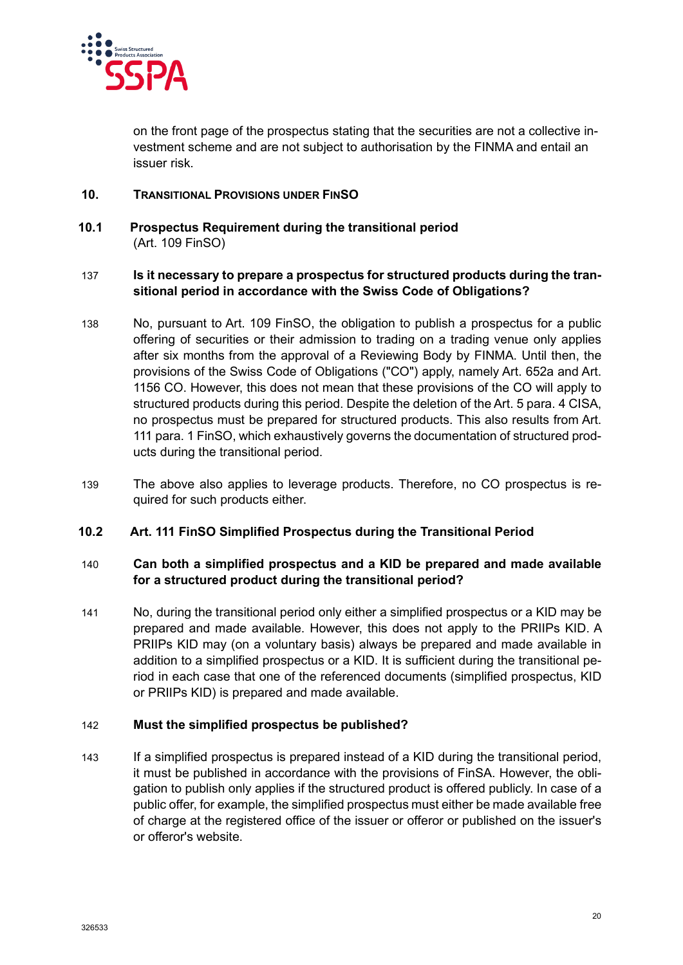

on the front page of the prospectus stating that the securities are not a collective investment scheme and are not subject to authorisation by the FINMA and entail an issuer risk.

### <span id="page-19-0"></span>**10. TRANSITIONAL PROVISIONS UNDER FINSO**

<span id="page-19-1"></span>**10.1 Prospectus Requirement during the transitional period** (Art. 109 FinSO)

#### 137 **Is it necessary to prepare a prospectus for structured products during the transitional period in accordance with the Swiss Code of Obligations?**

- 138 No, pursuant to Art. 109 FinSO, the obligation to publish a prospectus for a public offering of securities or their admission to trading on a trading venue only applies after six months from the approval of a Reviewing Body by FINMA. Until then, the provisions of the Swiss Code of Obligations ("CO") apply, namely Art. 652a and Art. 1156 CO. However, this does not mean that these provisions of the CO will apply to structured products during this period. Despite the deletion of the Art. 5 para. 4 CISA, no prospectus must be prepared for structured products. This also results from Art. 111 para. 1 FinSO, which exhaustively governs the documentation of structured products during the transitional period.
- 139 The above also applies to leverage products. Therefore, no CO prospectus is required for such products either.

#### <span id="page-19-2"></span>**10.2 Art. 111 FinSO Simplified Prospectus during the Transitional Period**

#### 140 **Can both a simplified prospectus and a KID be prepared and made available for a structured product during the transitional period?**

141 No, during the transitional period only either a simplified prospectus or a KID may be prepared and made available. However, this does not apply to the PRIIPs KID. A PRIIPs KID may (on a voluntary basis) always be prepared and made available in addition to a simplified prospectus or a KID. It is sufficient during the transitional period in each case that one of the referenced documents (simplified prospectus, KID or PRIIPs KID) is prepared and made available.

#### 142 **Must the simplified prospectus be published?**

143 If a simplified prospectus is prepared instead of a KID during the transitional period, it must be published in accordance with the provisions of FinSA. However, the obligation to publish only applies if the structured product is offered publicly. In case of a public offer, for example, the simplified prospectus must either be made available free of charge at the registered office of the issuer or offeror or published on the issuer's or offeror's website.